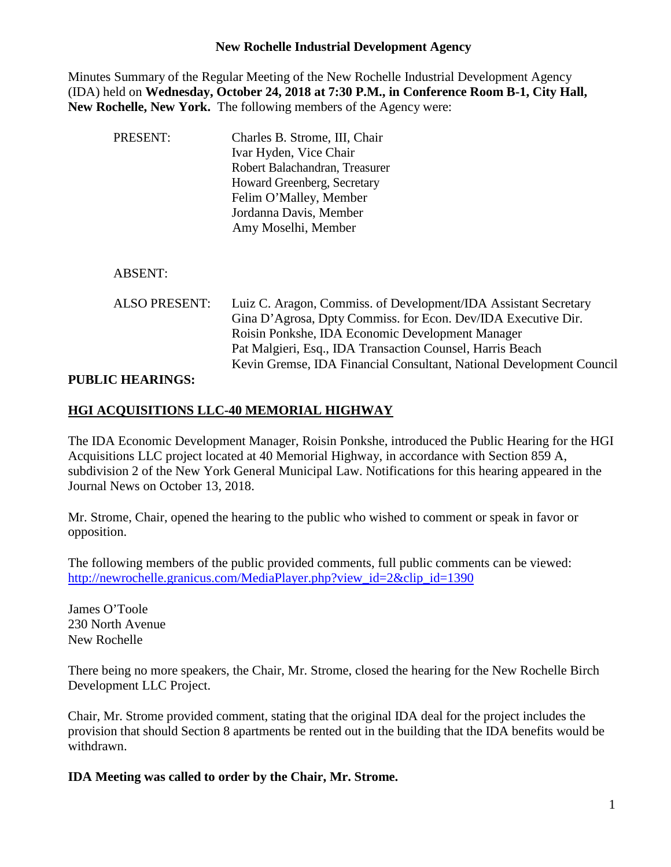### **New Rochelle Industrial Development Agency**

Minutes Summary of the Regular Meeting of the New Rochelle Industrial Development Agency (IDA) held on **Wednesday, October 24, 2018 at 7:30 P.M., in Conference Room B-1, City Hall, New Rochelle, New York.** The following members of the Agency were:

| PRESENT:             | Charles B. Strome, III, Chair<br>Ivar Hyden, Vice Chair<br>Robert Balachandran, Treasurer<br>Howard Greenberg, Secretary<br>Felim O'Malley, Member<br>Jordanna Davis, Member<br>Amy Moselhi, Member                                                                                                                       |
|----------------------|---------------------------------------------------------------------------------------------------------------------------------------------------------------------------------------------------------------------------------------------------------------------------------------------------------------------------|
| <b>ABSENT:</b>       |                                                                                                                                                                                                                                                                                                                           |
| <b>ALSO PRESENT:</b> | Luiz C. Aragon, Commiss. of Development/IDA Assistant Secretary<br>Gina D'Agrosa, Dpty Commiss. for Econ. Dev/IDA Executive Dir.<br>Roisin Ponkshe, IDA Economic Development Manager<br>Pat Malgieri, Esq., IDA Transaction Counsel, Harris Beach<br>Kevin Gremse, IDA Financial Consultant, National Development Council |

### **PUBLIC HEARINGS:**

### **HGI ACQUISITIONS LLC-40 MEMORIAL HIGHWAY**

The IDA Economic Development Manager, Roisin Ponkshe, introduced the Public Hearing for the HGI Acquisitions LLC project located at 40 Memorial Highway, in accordance with Section 859 A, subdivision 2 of the New York General Municipal Law. Notifications for this hearing appeared in the Journal News on October 13, 2018.

Mr. Strome, Chair, opened the hearing to the public who wished to comment or speak in favor or opposition.

The following members of the public provided comments, full public comments can be viewed: [http://newrochelle.granicus.com/MediaPlayer.php?view\\_id=2&clip\\_id=1390](http://newrochelle.granicus.com/MediaPlayer.php?view_id=2&clip_id=1390)

James O'Toole 230 North Avenue New Rochelle

There being no more speakers, the Chair, Mr. Strome, closed the hearing for the New Rochelle Birch Development LLC Project.

Chair, Mr. Strome provided comment, stating that the original IDA deal for the project includes the provision that should Section 8 apartments be rented out in the building that the IDA benefits would be withdrawn.

**IDA Meeting was called to order by the Chair, Mr. Strome.**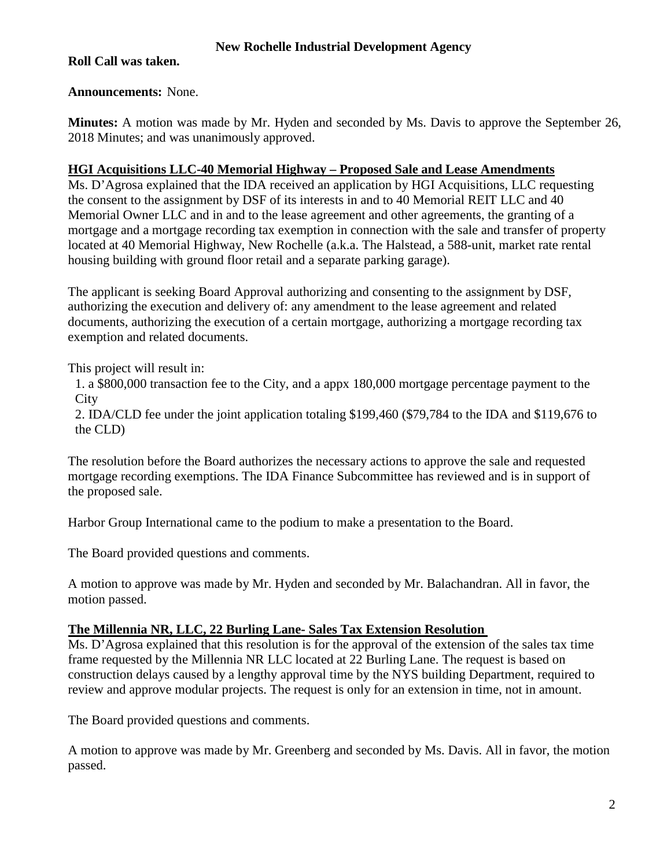### **New Rochelle Industrial Development Agency**

### **Roll Call was taken.**

### **Announcements:** None.

**Minutes:** A motion was made by Mr. Hyden and seconded by Ms. Davis to approve the September 26, 2018 Minutes; and was unanimously approved.

### **HGI Acquisitions LLC-40 Memorial Highway – Proposed Sale and Lease Amendments**

Ms. D'Agrosa explained that the IDA received an application by HGI Acquisitions, LLC requesting the consent to the assignment by DSF of its interests in and to 40 Memorial REIT LLC and 40 Memorial Owner LLC and in and to the lease agreement and other agreements, the granting of a mortgage and a mortgage recording tax exemption in connection with the sale and transfer of property located at 40 Memorial Highway, New Rochelle (a.k.a. The Halstead, a 588-unit, market rate rental housing building with ground floor retail and a separate parking garage).

The applicant is seeking Board Approval authorizing and consenting to the assignment by DSF, authorizing the execution and delivery of: any amendment to the lease agreement and related documents, authorizing the execution of a certain mortgage, authorizing a mortgage recording tax exemption and related documents.

This project will result in:

1. a \$800,000 transaction fee to the City, and a appx 180,000 mortgage percentage payment to the **City** 

2. IDA/CLD fee under the joint application totaling \$199,460 (\$79,784 to the IDA and \$119,676 to the CLD)

The resolution before the Board authorizes the necessary actions to approve the sale and requested mortgage recording exemptions. The IDA Finance Subcommittee has reviewed and is in support of the proposed sale.

Harbor Group International came to the podium to make a presentation to the Board.

The Board provided questions and comments.

A motion to approve was made by Mr. Hyden and seconded by Mr. Balachandran. All in favor, the motion passed.

### **The Millennia NR, LLC, 22 Burling Lane- Sales Tax Extension Resolution**

Ms. D'Agrosa explained that this resolution is for the approval of the extension of the sales tax time frame requested by the Millennia NR LLC located at 22 Burling Lane. The request is based on construction delays caused by a lengthy approval time by the NYS building Department, required to review and approve modular projects. The request is only for an extension in time, not in amount.

The Board provided questions and comments.

A motion to approve was made by Mr. Greenberg and seconded by Ms. Davis. All in favor, the motion passed.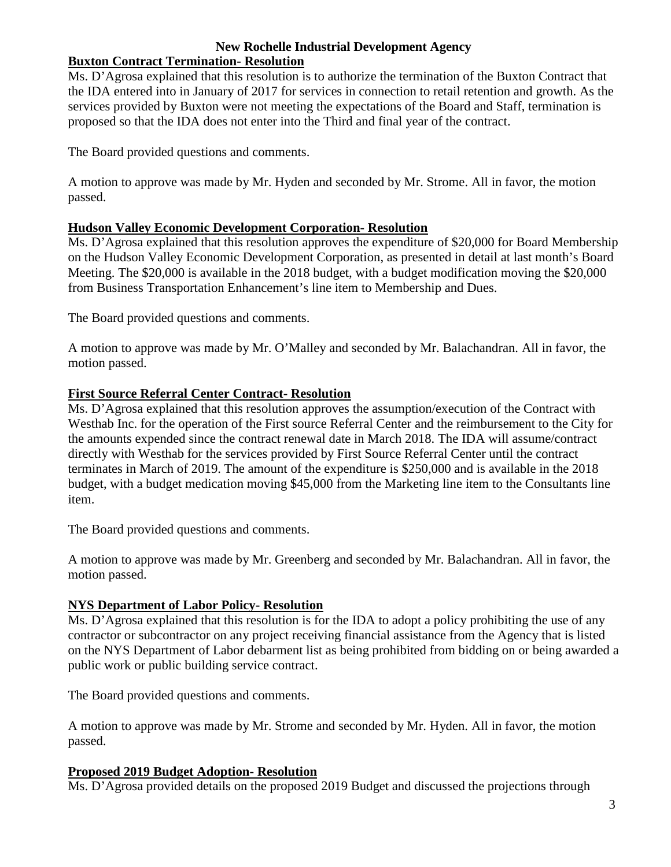### **New Rochelle Industrial Development Agency Buxton Contract Termination- Resolution**

Ms. D'Agrosa explained that this resolution is to authorize the termination of the Buxton Contract that the IDA entered into in January of 2017 for services in connection to retail retention and growth. As the services provided by Buxton were not meeting the expectations of the Board and Staff, termination is proposed so that the IDA does not enter into the Third and final year of the contract.

The Board provided questions and comments.

A motion to approve was made by Mr. Hyden and seconded by Mr. Strome. All in favor, the motion passed.

## **Hudson Valley Economic Development Corporation- Resolution**

Ms. D'Agrosa explained that this resolution approves the expenditure of \$20,000 for Board Membership on the Hudson Valley Economic Development Corporation, as presented in detail at last month's Board Meeting. The \$20,000 is available in the 2018 budget, with a budget modification moving the \$20,000 from Business Transportation Enhancement's line item to Membership and Dues.

The Board provided questions and comments.

A motion to approve was made by Mr. O'Malley and seconded by Mr. Balachandran. All in favor, the motion passed.

# **First Source Referral Center Contract- Resolution**

Ms. D'Agrosa explained that this resolution approves the assumption/execution of the Contract with Westhab Inc. for the operation of the First source Referral Center and the reimbursement to the City for the amounts expended since the contract renewal date in March 2018. The IDA will assume/contract directly with Westhab for the services provided by First Source Referral Center until the contract terminates in March of 2019. The amount of the expenditure is \$250,000 and is available in the 2018 budget, with a budget medication moving \$45,000 from the Marketing line item to the Consultants line item.

The Board provided questions and comments.

A motion to approve was made by Mr. Greenberg and seconded by Mr. Balachandran. All in favor, the motion passed.

# **NYS Department of Labor Policy- Resolution**

Ms. D'Agrosa explained that this resolution is for the IDA to adopt a policy prohibiting the use of any contractor or subcontractor on any project receiving financial assistance from the Agency that is listed on the NYS Department of Labor debarment list as being prohibited from bidding on or being awarded a public work or public building service contract.

The Board provided questions and comments.

A motion to approve was made by Mr. Strome and seconded by Mr. Hyden. All in favor, the motion passed.

# **Proposed 2019 Budget Adoption- Resolution**

Ms. D'Agrosa provided details on the proposed 2019 Budget and discussed the projections through